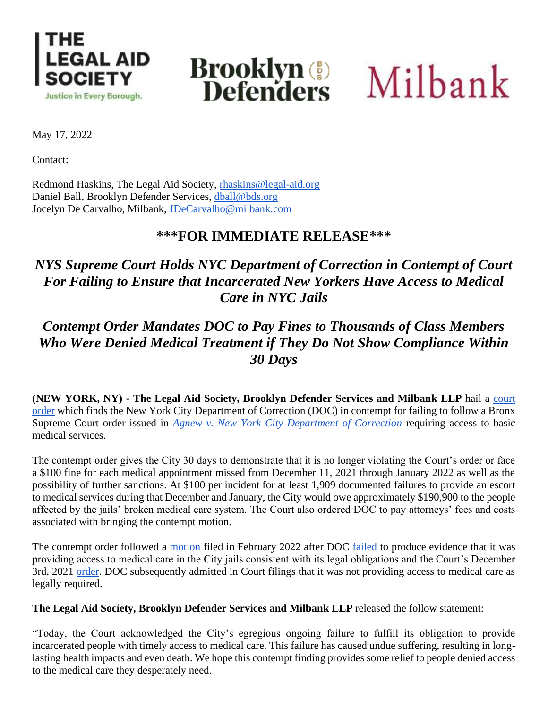

# **Brooklyn (2)**<br>Defenders

Milbank

May 17, 2022

Contact:

Redmond Haskins, The Legal Aid Society, [rhaskins@legal-aid.org](mailto:rhaskins@legal-aid.org) Daniel Ball, Brooklyn Defender Services, [dball@bds.org](mailto:dball@bds.org) Jocelyn De Carvalho, Milbank, [JDeCarvalho@milbank.com](mailto:JDeCarvalho@milbank.com)

### **\*\*\*FOR IMMEDIATE RELEASE\*\*\***

## *NYS Supreme Court Holds NYC Department of Correction in Contempt of Court For Failing to Ensure that Incarcerated New Yorkers Have Access to Medical Care in NYC Jails*

## *Contempt Order Mandates DOC to Pay Fines to Thousands of Class Members Who Were Denied Medical Treatment if They Do Not Show Compliance Within 30 Days*

**(NEW YORK, NY) - The Legal Aid Society, Brooklyn Defender Services and Milbank LLP** hail a [court](https://legalaidnyc.org/wp-content/uploads/2022/05/Matter_of_Joseph_Agnew_v_Matter_of_Joseph_Agnew_ORDER_TO_SHOW_CAUSE_126.pdf)  [order](https://legalaidnyc.org/wp-content/uploads/2022/05/Matter_of_Joseph_Agnew_v_Matter_of_Joseph_Agnew_ORDER_TO_SHOW_CAUSE_126.pdf) which finds the New York City Department of Correction (DOC) in contempt for failing to follow a Bronx Supreme Court order issued in *[Agnew v. New York City Department of Correction](https://legalaidnyc.org/wp-content/uploads/2021/12/20211004_3.-Proposed-Order-Granting-Petitioners-Mandamus-Relief.pdf)* requiring access to basic medical services.

The contempt order gives the City 30 days to demonstrate that it is no longer violating the Court's order or face a \$100 fine for each medical appointment missed from December 11, 2021 through January 2022 as well as the possibility of further sanctions. At \$100 per incident for at least 1,909 documented failures to provide an escort to medical services during that December and January, the City would owe approximately \$190,900 to the people affected by the jails' broken medical care system. The Court also ordered DOC to pay attorneys' fees and costs associated with bringing the contempt motion.

The contempt order followed a [motion](https://nam10.safelinks.protection.outlook.com/?url=https%3A%2F%2Flegalaidnyc.org%2Fwp-content%2Fuploads%2F2022%2F05%2F813431_2021E_Joseph_Agnew_et_al_v_Joseph_Agnew_et_al_MEMORANDUM_OF_LAW_105.pdf&data=05%7C01%7CRHaskins%40legal-aid.org%7Cc25d9a51394e4c05f96708da38232773%7Cf226ccf384ef49ca9b0a9b565b2f0f06%7C0%7C0%7C637884020877429133%7CUnknown%7CTWFpbGZsb3d8eyJWIjoiMC4wLjAwMDAiLCJQIjoiV2luMzIiLCJBTiI6Ik1haWwiLCJXVCI6Mn0%3D%7C3000%7C%7C%7C&sdata=tBXSA%2BeQYco0dTaKQuYirwDXfocZZlkGkDiVL6s9TDU%3D&reserved=0) filed in February 2022 after DOC [failed](https://www.nytimes.com/2022/02/01/nyregion/rikers-island-medical-care.html) to produce evidence that it was providing access to medical care in the City jails consistent with its legal obligations and the Court's December 3rd, 2021 [order.](https://legalaidnyc.org/wp-content/uploads/2022/05/813431_2021E_Joseph_Agnew_et_al_v_Joseph_Agnew_et_al_ORDER_TO_SHOW_CAUSE_81.pdf) DOC subsequently admitted in Court filings that it was not providing access to medical care as legally required.

**The Legal Aid Society, Brooklyn Defender Services and Milbank LLP** released the follow statement:

"Today, the Court acknowledged the City's egregious ongoing failure to fulfill its obligation to provide incarcerated people with timely access to medical care. This failure has caused undue suffering, resulting in longlasting health impacts and even death. We hope this contempt finding provides some relief to people denied access to the medical care they desperately need.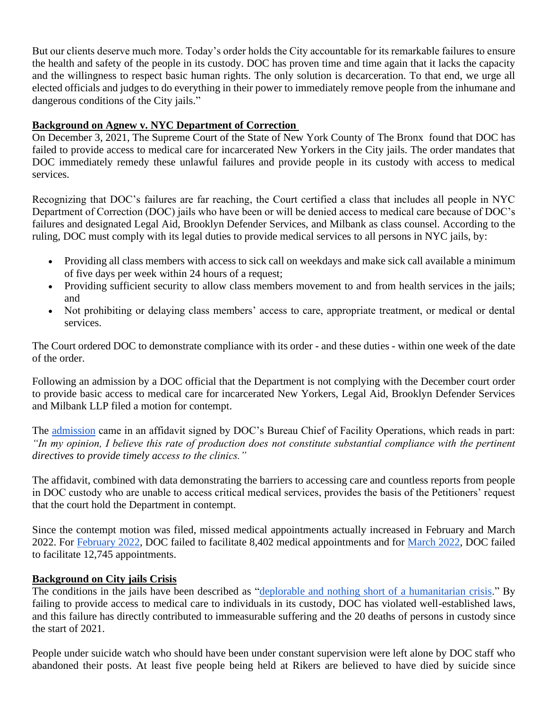But our clients deserve much more. Today's order holds the City accountable for its remarkable failures to ensure the health and safety of the people in its custody. DOC has proven time and time again that it lacks the capacity and the willingness to respect basic human rights. The only solution is decarceration. To that end, we urge all elected officials and judges to do everything in their power to immediately remove people from the inhumane and dangerous conditions of the City jails."

#### **Background on Agnew v. NYC Department of Correction**

On December 3, 2021, The Supreme Court of the State of New York County of The Bronx found that DOC has failed to provide access to medical care for incarcerated New Yorkers in the City jails. The order mandates that DOC immediately remedy these unlawful failures and provide people in its custody with access to medical services.

Recognizing that DOC's failures are far reaching, the Court certified a class that includes all people in NYC Department of Correction (DOC) jails who have been or will be denied access to medical care because of DOC's failures and designated Legal Aid, Brooklyn Defender Services, and Milbank as class counsel. According to the ruling, DOC must comply with its legal duties to provide medical services to all persons in NYC jails, by:

- Providing all class members with access to sick call on weekdays and make sick call available a minimum of five days per week within 24 hours of a request;
- Providing sufficient security to allow class members movement to and from health services in the jails; and
- Not prohibiting or delaying class members' access to care, appropriate treatment, or medical or dental services.

The Court ordered DOC to demonstrate compliance with its order - and these duties - within one week of the date of the order.

Following an admission by a DOC official that the Department is not complying with the December court order to provide basic access to medical care for incarcerated New Yorkers, Legal Aid, Brooklyn Defender Services and Milbank LLP filed a motion for contempt.

The [admission](https://legalaidnyc.org/wp-content/uploads/2022/01/Affidavit-of-Chief-Pressley-Agnew-et-al-v-DOC-813431.2021E.pdf) came in an affidavit signed by DOC's Bureau Chief of Facility Operations, which reads in part: *"In my opinion, I believe this rate of production does not constitute substantial compliance with the pertinent directives to provide timely access to the clinics."*

The affidavit, combined with data demonstrating the barriers to accessing care and countless reports from people in DOC custody who are unable to access critical medical services, provides the basis of the Petitioners' request that the court hold the Department in contempt.

Since the contempt motion was filed, missed medical appointments actually increased in February and March 2022. For [February 2022,](https://www1.nyc.gov/assets/doc/downloads/pdf/Medical%20Non-Production%20Report%20City%20Council%20-%20February%202022.pdf) DOC failed to facilitate 8,402 medical appointments and for [March 2022,](https://www1.nyc.gov/assets/doc/downloads/pdf/Medical_Non_Production_March_2022.pdf) DOC failed to facilitate 12,745 appointments.

#### **Background on City jails Crisis**

The conditions in the jails have been described as ["deplorable and nothing short of a humanitarian crisis.](https://www.nbcnewyork.com/news/local/rikers-monitor-warns-of-pervasive-disorder-and-chaos-and-calls-for-outside-help/3290200/)" By failing to provide access to medical care to individuals in its custody, DOC has violated well-established laws, and this failure has directly contributed to immeasurable suffering and the 20 deaths of persons in custody since the start of 2021.

People under suicide watch who should have been under constant supervision were left alone by DOC staff who abandoned their posts. At least five people being held at Rikers are believed to have died by suicide since